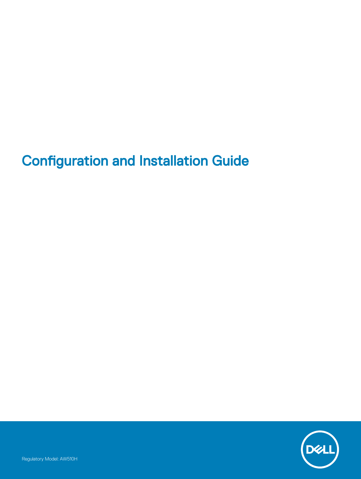## **Configuration and Installation Guide**

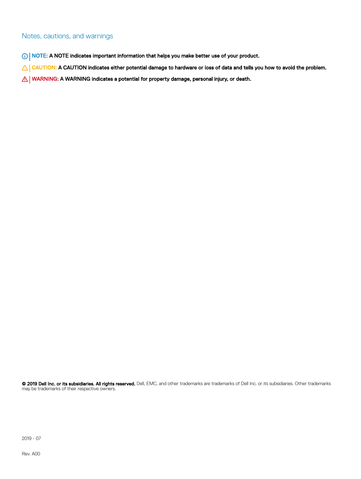#### Notes, cautions, and warnings

- NOTE: A NOTE indicates important information that helps you make better use of your product.
- △ CAUTION: A CAUTION indicates either potential damage to hardware or loss of data and tells you how to avoid the problem.
- **A WARNING: A WARNING indicates a potential for property damage, personal injury, or death.**

© 2019 Dell Inc. or its subsidiaries. All rights reserved. Dell, EMC, and other trademarks are trademarks of Dell Inc. or its subsidiaries. Other trademarks may be trademarks of their respective owners.

2019 - 07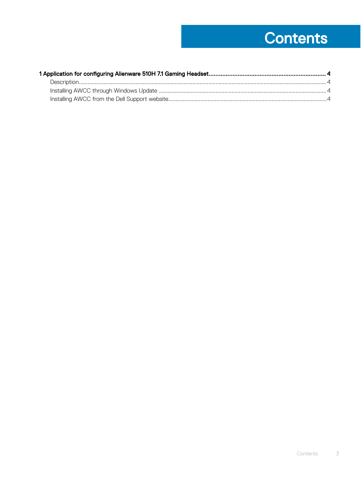# **Contents**